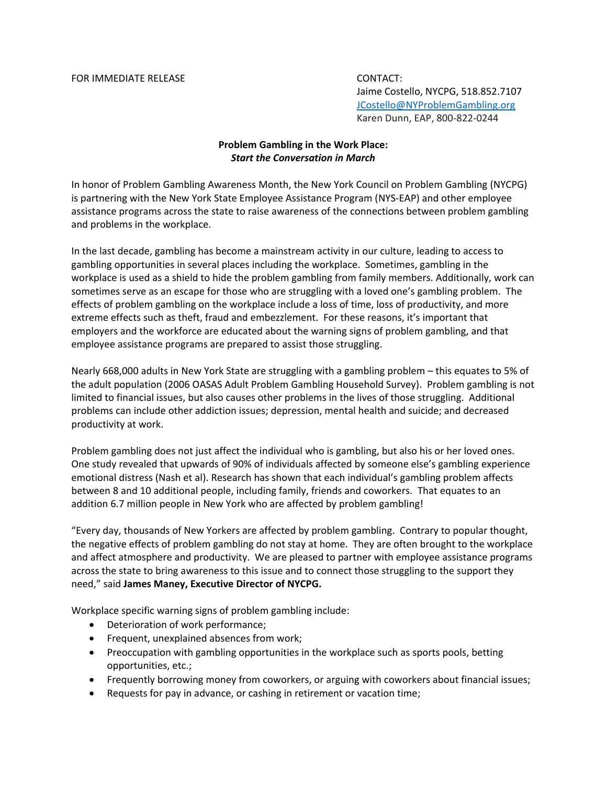## FOR IMMEDIATE RELEASE CONTACT:

Jaime Costello, NYCPG, 518.852.7107 [JCostello@NYProblemGambling.org](mailto:JCostello@NYProblemGambling.org) Karen Dunn, EAP, 800-822-0244

## **Problem Gambling in the Work Place:** *Start the Conversation in March*

In honor of Problem Gambling Awareness Month, the New York Council on Problem Gambling (NYCPG) is partnering with the New York State Employee Assistance Program (NYS-EAP) and other employee assistance programs across the state to raise awareness of the connections between problem gambling and problems in the workplace.

In the last decade, gambling has become a mainstream activity in our culture, leading to access to gambling opportunities in several places including the workplace. Sometimes, gambling in the workplace is used as a shield to hide the problem gambling from family members. Additionally, work can sometimes serve as an escape for those who are struggling with a loved one's gambling problem. The effects of problem gambling on the workplace include a loss of time, loss of productivity, and more extreme effects such as theft, fraud and embezzlement. For these reasons, it's important that employers and the workforce are educated about the warning signs of problem gambling, and that employee assistance programs are prepared to assist those struggling.

Nearly 668,000 adults in New York State are struggling with a gambling problem – this equates to 5% of the adult population (2006 OASAS Adult Problem Gambling Household Survey). Problem gambling is not limited to financial issues, but also causes other problems in the lives of those struggling. Additional problems can include other addiction issues; depression, mental health and suicide; and decreased productivity at work.

Problem gambling does not just affect the individual who is gambling, but also his or her loved ones. One study revealed that upwards of 90% of individuals affected by someone else's gambling experience emotional distress (Nash et al). Research has shown that each individual's gambling problem affects between 8 and 10 additional people, including family, friends and coworkers. That equates to an addition 6.7 million people in New York who are affected by problem gambling!

"Every day, thousands of New Yorkers are affected by problem gambling. Contrary to popular thought, the negative effects of problem gambling do not stay at home. They are often brought to the workplace and affect atmosphere and productivity. We are pleased to partner with employee assistance programs across the state to bring awareness to this issue and to connect those struggling to the support they need," said **James Maney, Executive Director of NYCPG.**

Workplace specific warning signs of problem gambling include:

- Deterioration of work performance;
- **•** Frequent, unexplained absences from work;
- Preoccupation with gambling opportunities in the workplace such as sports pools, betting opportunities, etc.;
- Frequently borrowing money from coworkers, or arguing with coworkers about financial issues;
- Requests for pay in advance, or cashing in retirement or vacation time;